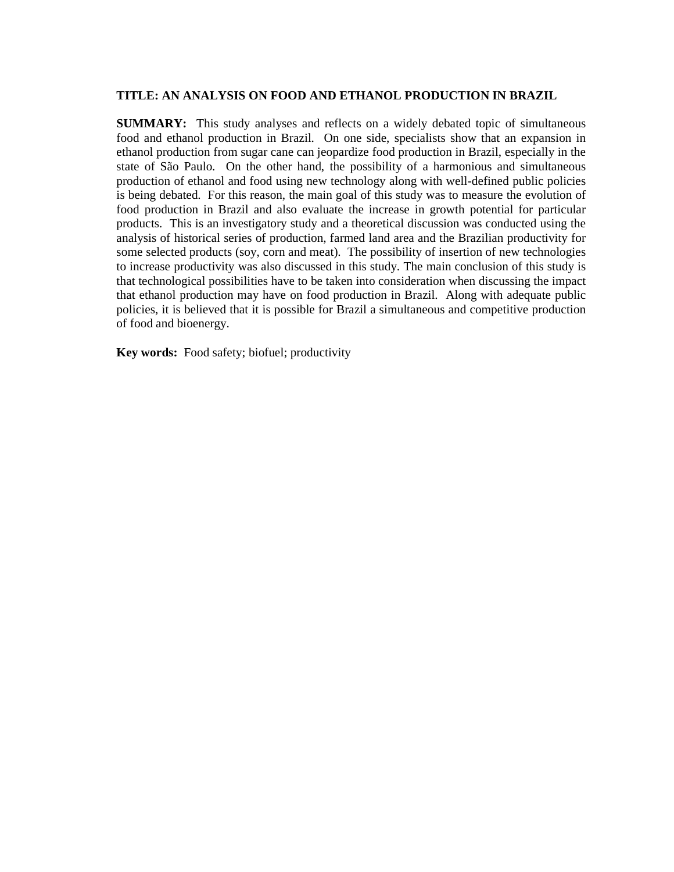# **TITLE: AN ANALYSIS ON FOOD AND ETHANOL PRODUCTION IN BRAZIL**

**SUMMARY:** This study analyses and reflects on a widely debated topic of simultaneous food and ethanol production in Brazil. On one side, specialists show that an expansion in ethanol production from sugar cane can jeopardize food production in Brazil, especially in the state of São Paulo. On the other hand, the possibility of a harmonious and simultaneous production of ethanol and food using new technology along with well-defined public policies is being debated. For this reason, the main goal of this study was to measure the evolution of food production in Brazil and also evaluate the increase in growth potential for particular products. This is an investigatory study and a theoretical discussion was conducted using the analysis of historical series of production, farmed land area and the Brazilian productivity for some selected products (soy, corn and meat). The possibility of insertion of new technologies to increase productivity was also discussed in this study. The main conclusion of this study is that technological possibilities have to be taken into consideration when discussing the impact that ethanol production may have on food production in Brazil. Along with adequate public policies, it is believed that it is possible for Brazil a simultaneous and competitive production of food and bioenergy.

**Key words:** Food safety; biofuel; productivity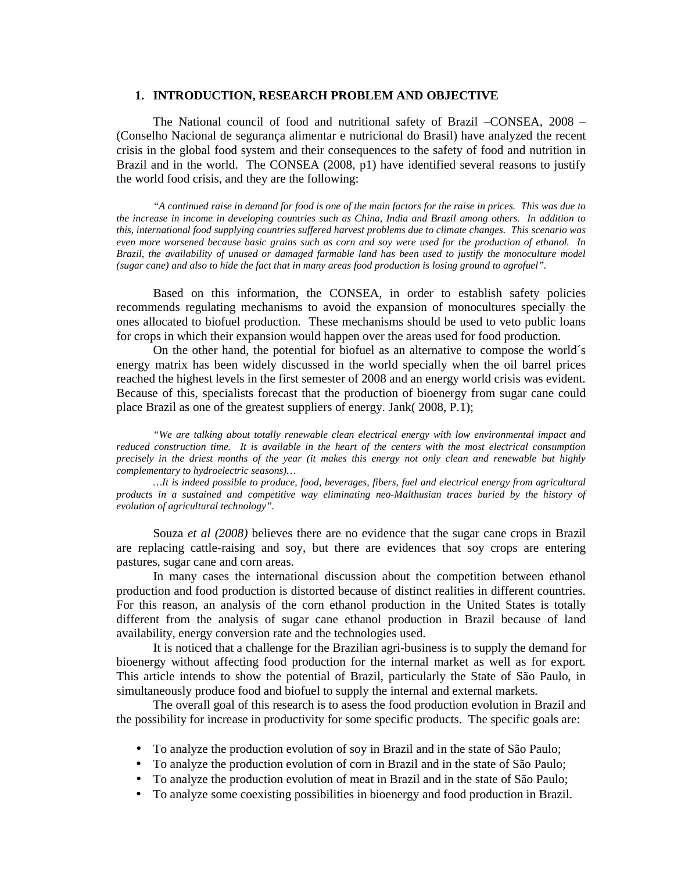#### **1. INTRODUCTION, RESEARCH PROBLEM AND OBJECTIVE**

The National council of food and nutritional safety of Brazil –CONSEA, 2008 – (Conselho Nacional de segurança alimentar e nutricional do Brasil) have analyzed the recent crisis in the global food system and their consequences to the safety of food and nutrition in Brazil and in the world. The CONSEA (2008, p1) have identified several reasons to justify the world food crisis, and they are the following:

*"A continued raise in demand for food is one of the main factors for the raise in prices. This was due to the increase in income in developing countries such as China, India and Brazil among others. In addition to this, international food supplying countries suffered harvest problems due to climate changes. This scenario was even more worsened because basic grains such as corn and soy were used for the production of ethanol. In Brazil, the availability of unused or damaged farmable land has been used to justify the monoculture model (sugar cane) and also to hide the fact that in many areas food production is losing ground to agrofuel".* 

Based on this information, the CONSEA, in order to establish safety policies recommends regulating mechanisms to avoid the expansion of monocultures specially the ones allocated to biofuel production. These mechanisms should be used to veto public loans for crops in which their expansion would happen over the areas used for food production.

On the other hand, the potential for biofuel as an alternative to compose the world´s energy matrix has been widely discussed in the world specially when the oil barrel prices reached the highest levels in the first semester of 2008 and an energy world crisis was evident. Because of this, specialists forecast that the production of bioenergy from sugar cane could place Brazil as one of the greatest suppliers of energy. Jank( 2008, P.1);

*"We are talking about totally renewable clean electrical energy with low environmental impact and reduced construction time. It is available in the heart of the centers with the most electrical consumption precisely in the driest months of the year (it makes this energy not only clean and renewable but highly complementary to hydroelectric seasons)…* 

*…It is indeed possible to produce, food, beverages, fibers, fuel and electrical energy from agricultural products in a sustained and competitive way eliminating neo-Malthusian traces buried by the history of evolution of agricultural technology".* 

Souza *et al (2008)* believes there are no evidence that the sugar cane crops in Brazil are replacing cattle-raising and soy, but there are evidences that soy crops are entering pastures, sugar cane and corn areas.

In many cases the international discussion about the competition between ethanol production and food production is distorted because of distinct realities in different countries. For this reason, an analysis of the corn ethanol production in the United States is totally different from the analysis of sugar cane ethanol production in Brazil because of land availability, energy conversion rate and the technologies used.

It is noticed that a challenge for the Brazilian agri-business is to supply the demand for bioenergy without affecting food production for the internal market as well as for export. This article intends to show the potential of Brazil, particularly the State of São Paulo, in simultaneously produce food and biofuel to supply the internal and external markets.

 The overall goal of this research is to asess the food production evolution in Brazil and the possibility for increase in productivity for some specific products. The specific goals are:

- To analyze the production evolution of soy in Brazil and in the state of São Paulo;
- To analyze the production evolution of corn in Brazil and in the state of São Paulo;
- To analyze the production evolution of meat in Brazil and in the state of São Paulo;
- To analyze some coexisting possibilities in bioenergy and food production in Brazil.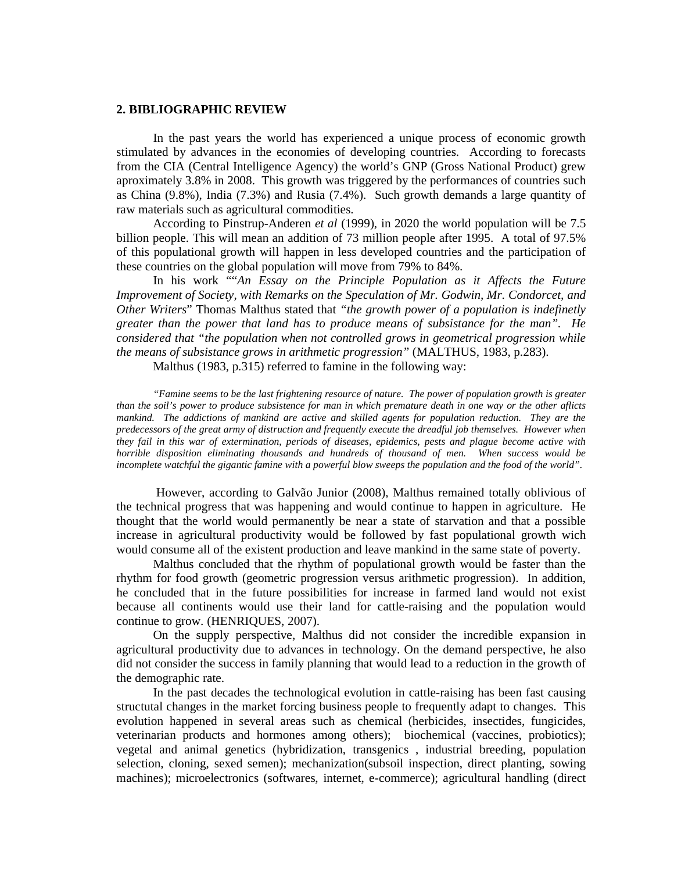### **2. BIBLIOGRAPHIC REVIEW**

In the past years the world has experienced a unique process of economic growth stimulated by advances in the economies of developing countries. According to forecasts from the CIA (Central Intelligence Agency) the world's GNP (Gross National Product) grew aproximately 3.8% in 2008. This growth was triggered by the performances of countries such as China (9.8%), India (7.3%) and Rusia (7.4%). Such growth demands a large quantity of raw materials such as agricultural commodities.

According to Pinstrup-Anderen *et al* (1999), in 2020 the world population will be 7.5 billion people. This will mean an addition of 73 million people after 1995. A total of 97.5% of this populational growth will happen in less developed countries and the participation of these countries on the global population will move from 79% to 84%.

In his work ""*An Essay on the Principle Population as it Affects the Future Improvement of Society, with Remarks on the Speculation of Mr. Godwin, Mr. Condorcet, and Other Writers*" Thomas Malthus stated that *"the growth power of a population is indefinetly greater than the power that land has to produce means of subsistance for the man". He considered that "the population when not controlled grows in geometrical progression while the means of subsistance grows in arithmetic progression"* (MALTHUS, 1983, p.283).

Malthus (1983, p.315) referred to famine in the following way:

*"Famine seems to be the last frightening resource of nature. The power of population growth is greater than the soil's power to produce subsistence for man in which premature death in one way or the other aflicts mankind. The addictions of mankind are active and skilled agents for population reduction. They are the predecessors of the great army of distruction and frequently execute the dreadful job themselves. However when they fail in this war of extermination, periods of diseases, epidemics, pests and plague become active with horrible disposition eliminating thousands and hundreds of thousand of men. When success would be incomplete watchful the gigantic famine with a powerful blow sweeps the population and the food of the world".* 

 However, according to Galvão Junior (2008), Malthus remained totally oblivious of the technical progress that was happening and would continue to happen in agriculture. He thought that the world would permanently be near a state of starvation and that a possible increase in agricultural productivity would be followed by fast populational growth wich would consume all of the existent production and leave mankind in the same state of poverty.

Malthus concluded that the rhythm of populational growth would be faster than the rhythm for food growth (geometric progression versus arithmetic progression). In addition, he concluded that in the future possibilities for increase in farmed land would not exist because all continents would use their land for cattle-raising and the population would continue to grow. (HENRIQUES, 2007).

On the supply perspective, Malthus did not consider the incredible expansion in agricultural productivity due to advances in technology. On the demand perspective, he also did not consider the success in family planning that would lead to a reduction in the growth of the demographic rate.

In the past decades the technological evolution in cattle-raising has been fast causing structutal changes in the market forcing business people to frequently adapt to changes. This evolution happened in several areas such as chemical (herbicides, insectides, fungicides, veterinarian products and hormones among others); biochemical (vaccines, probiotics); vegetal and animal genetics (hybridization, transgenics , industrial breeding, population selection, cloning, sexed semen); mechanization(subsoil inspection, direct planting, sowing machines); microelectronics (softwares, internet, e-commerce); agricultural handling (direct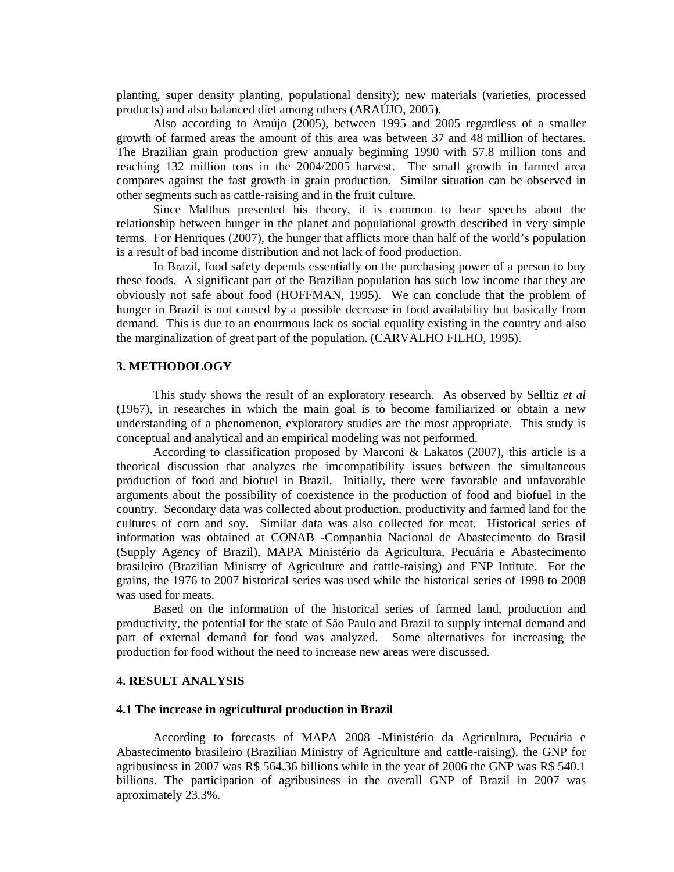planting, super density planting, populational density); new materials (varieties, processed products) and also balanced diet among others (ARAÚJO, 2005).

Also according to Araújo (2005), between 1995 and 2005 regardless of a smaller growth of farmed areas the amount of this area was between 37 and 48 million of hectares. The Brazilian grain production grew annualy beginning 1990 with 57.8 million tons and reaching 132 million tons in the 2004/2005 harvest. The small growth in farmed area compares against the fast growth in grain production. Similar situation can be observed in other segments such as cattle-raising and in the fruit culture.

Since Malthus presented his theory, it is common to hear speechs about the relationship between hunger in the planet and populational growth described in very simple terms. For Henriques (2007), the hunger that afflicts more than half of the world's population is a result of bad income distribution and not lack of food production.

In Brazil, food safety depends essentially on the purchasing power of a person to buy these foods. A significant part of the Brazilian population has such low income that they are obviously not safe about food (HOFFMAN, 1995). We can conclude that the problem of hunger in Brazil is not caused by a possible decrease in food availability but basically from demand. This is due to an enourmous lack os social equality existing in the country and also the marginalization of great part of the population. (CARVALHO FILHO, 1995).

## **3. METHODOLOGY**

This study shows the result of an exploratory research. As observed by Selltiz *et al* (1967), in researches in which the main goal is to become familiarized or obtain a new understanding of a phenomenon, exploratory studies are the most appropriate. This study is conceptual and analytical and an empirical modeling was not performed.

According to classification proposed by Marconi & Lakatos (2007), this article is a theorical discussion that analyzes the imcompatibility issues between the simultaneous production of food and biofuel in Brazil. Initially, there were favorable and unfavorable arguments about the possibility of coexistence in the production of food and biofuel in the country. Secondary data was collected about production, productivity and farmed land for the cultures of corn and soy. Similar data was also collected for meat. Historical series of information was obtained at CONAB -Companhia Nacional de Abastecimento do Brasil (Supply Agency of Brazil), MAPA Ministério da Agricultura, Pecuária e Abastecimento brasileiro (Brazilian Ministry of Agriculture and cattle-raising) and FNP Intitute. For the grains, the 1976 to 2007 historical series was used while the historical series of 1998 to 2008 was used for meats.

Based on the information of the historical series of farmed land, production and productivity, the potential for the state of São Paulo and Brazil to supply internal demand and part of external demand for food was analyzed. Some alternatives for increasing the production for food without the need to increase new areas were discussed.

# **4. RESULT ANALYSIS**

### **4.1 The increase in agricultural production in Brazil**

 According to forecasts of MAPA 2008 -Ministério da Agricultura, Pecuária e Abastecimento brasileiro (Brazilian Ministry of Agriculture and cattle-raising), the GNP for agribusiness in 2007 was R\$ 564.36 billions while in the year of 2006 the GNP was R\$ 540.1 billions. The participation of agribusiness in the overall GNP of Brazil in 2007 was aproximately 23.3%.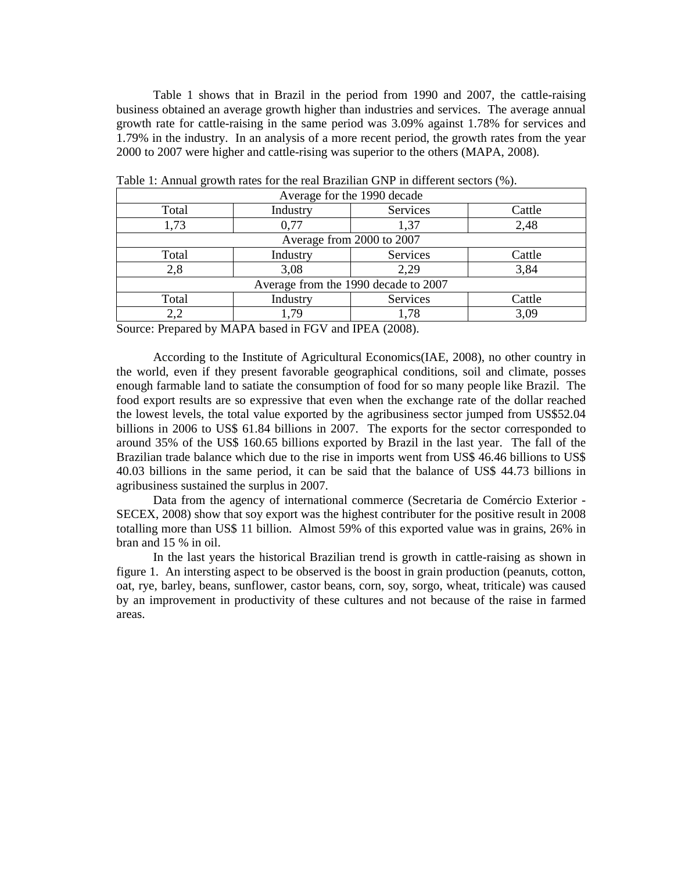Table 1 shows that in Brazil in the period from 1990 and 2007, the cattle-raising business obtained an average growth higher than industries and services. The average annual growth rate for cattle-raising in the same period was 3.09% against 1.78% for services and 1.79% in the industry. In an analysis of a more recent period, the growth rates from the year 2000 to 2007 were higher and cattle-rising was superior to the others (MAPA, 2008).

| Average for the 1990 decade          |          |          |        |
|--------------------------------------|----------|----------|--------|
| Total                                | Industry | Services | Cattle |
| 1,73                                 | 0.77     | 1,37     | 2,48   |
| Average from 2000 to 2007            |          |          |        |
| Total                                | Industry | Services | Cattle |
| 2,8                                  | 3,08     | 2,29     | 3,84   |
| Average from the 1990 decade to 2007 |          |          |        |
| Total                                | Industry | Services | Cattle |
| 2,2                                  | 1,79     | 1,78     | 3,09   |

Table 1: Annual growth rates for the real Brazilian GNP in different sectors (%).

Source: Prepared by MAPA based in FGV and IPEA (2008).

 According to the Institute of Agricultural Economics(IAE, 2008), no other country in the world, even if they present favorable geographical conditions, soil and climate, posses enough farmable land to satiate the consumption of food for so many people like Brazil. The food export results are so expressive that even when the exchange rate of the dollar reached the lowest levels, the total value exported by the agribusiness sector jumped from US\$52.04 billions in 2006 to US\$ 61.84 billions in 2007. The exports for the sector corresponded to around 35% of the US\$ 160.65 billions exported by Brazil in the last year. The fall of the Brazilian trade balance which due to the rise in imports went from US\$ 46.46 billions to US\$ 40.03 billions in the same period, it can be said that the balance of US\$ 44.73 billions in agribusiness sustained the surplus in 2007.

Data from the agency of international commerce (Secretaria de Comércio Exterior - SECEX, 2008) show that soy export was the highest contributer for the positive result in 2008 totalling more than US\$ 11 billion. Almost 59% of this exported value was in grains, 26% in bran and 15 % in oil.

 In the last years the historical Brazilian trend is growth in cattle-raising as shown in figure 1. An intersting aspect to be observed is the boost in grain production (peanuts, cotton, oat, rye, barley, beans, sunflower, castor beans, corn, soy, sorgo, wheat, triticale) was caused by an improvement in productivity of these cultures and not because of the raise in farmed areas.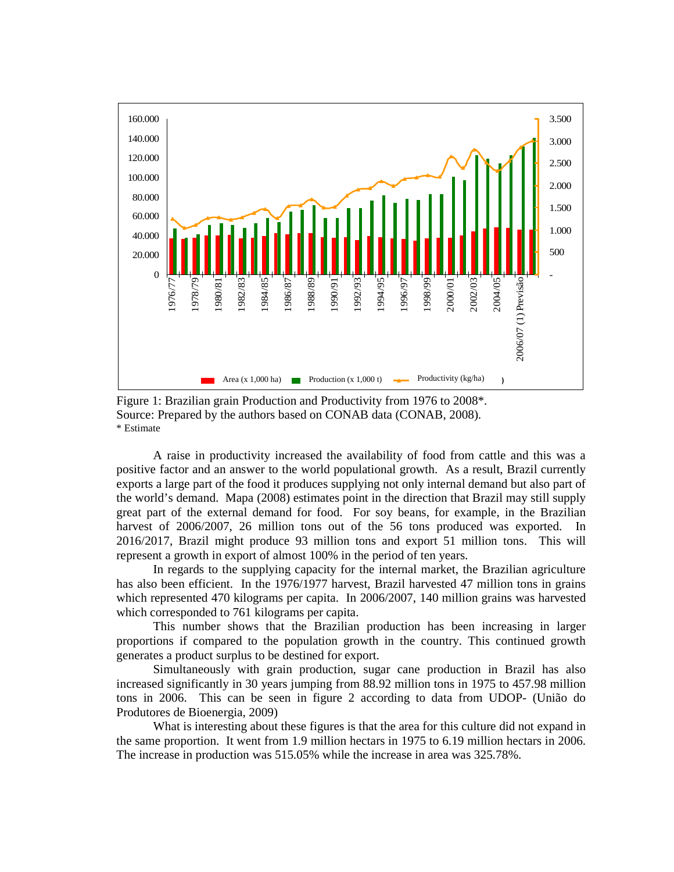

Figure 1: Brazilian grain Production and Productivity from 1976 to 2008\*. Source: Prepared by the authors based on CONAB data (CONAB, 2008). \* Estimate

A raise in productivity increased the availability of food from cattle and this was a positive factor and an answer to the world populational growth. As a result, Brazil currently exports a large part of the food it produces supplying not only internal demand but also part of the world's demand. Mapa (2008) estimates point in the direction that Brazil may still supply great part of the external demand for food. For soy beans, for example, in the Brazilian harvest of 2006/2007, 26 million tons out of the 56 tons produced was exported. In 2016/2017, Brazil might produce 93 million tons and export 51 million tons. This will represent a growth in export of almost 100% in the period of ten years.

In regards to the supplying capacity for the internal market, the Brazilian agriculture has also been efficient. In the 1976/1977 harvest, Brazil harvested 47 million tons in grains which represented 470 kilograms per capita. In 2006/2007, 140 million grains was harvested which corresponded to 761 kilograms per capita.

This number shows that the Brazilian production has been increasing in larger proportions if compared to the population growth in the country. This continued growth generates a product surplus to be destined for export.

Simultaneously with grain production, sugar cane production in Brazil has also increased significantly in 30 years jumping from 88.92 million tons in 1975 to 457.98 million tons in 2006. This can be seen in figure 2 according to data from UDOP- (União do Produtores de Bioenergia, 2009)

What is interesting about these figures is that the area for this culture did not expand in the same proportion. It went from 1.9 million hectars in 1975 to 6.19 million hectars in 2006. The increase in production was 515.05% while the increase in area was 325.78%.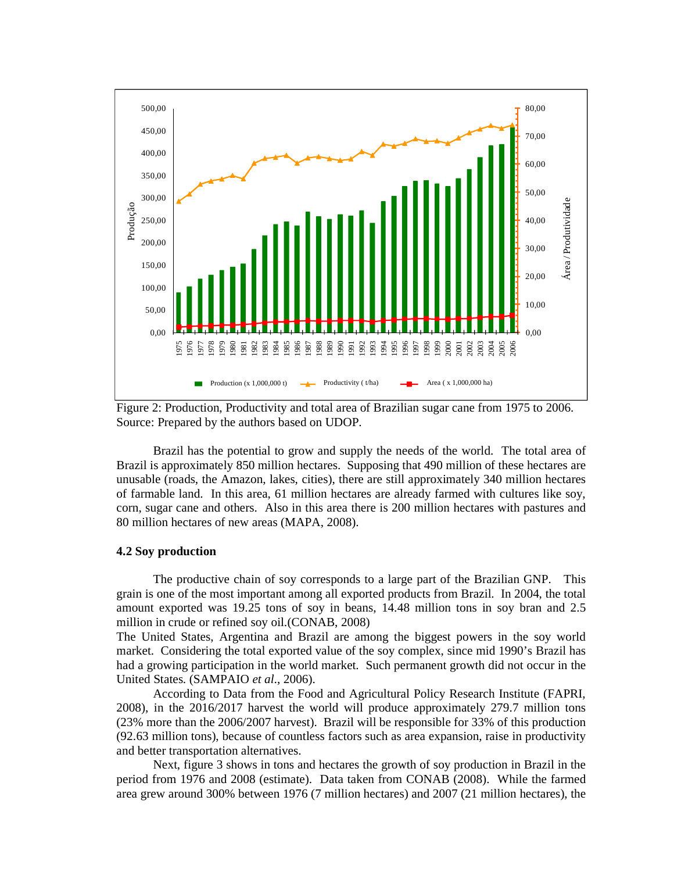

Figure 2: Production, Productivity and total area of Brazilian sugar cane from 1975 to 2006. Source: Prepared by the authors based on UDOP.

Brazil has the potential to grow and supply the needs of the world. The total area of Brazil is approximately 850 million hectares. Supposing that 490 million of these hectares are unusable (roads, the Amazon, lakes, cities), there are still approximately 340 million hectares of farmable land. In this area, 61 million hectares are already farmed with cultures like soy, corn, sugar cane and others. Also in this area there is 200 million hectares with pastures and 80 million hectares of new areas (MAPA, 2008).

# **4.2 Soy production**

The productive chain of soy corresponds to a large part of the Brazilian GNP. This grain is one of the most important among all exported products from Brazil. In 2004, the total amount exported was 19.25 tons of soy in beans, 14.48 million tons in soy bran and 2.5 million in crude or refined soy oil.(CONAB, 2008)

The United States, Argentina and Brazil are among the biggest powers in the soy world market. Considering the total exported value of the soy complex, since mid 1990's Brazil has had a growing participation in the world market. Such permanent growth did not occur in the United States. (SAMPAIO *et al*., 2006).

According to Data from the Food and Agricultural Policy Research Institute (FAPRI, 2008), in the 2016/2017 harvest the world will produce approximately 279.7 million tons (23% more than the 2006/2007 harvest). Brazil will be responsible for 33% of this production (92.63 million tons), because of countless factors such as area expansion, raise in productivity and better transportation alternatives.

Next, figure 3 shows in tons and hectares the growth of soy production in Brazil in the period from 1976 and 2008 (estimate). Data taken from CONAB (2008). While the farmed area grew around 300% between 1976 (7 million hectares) and 2007 (21 million hectares), the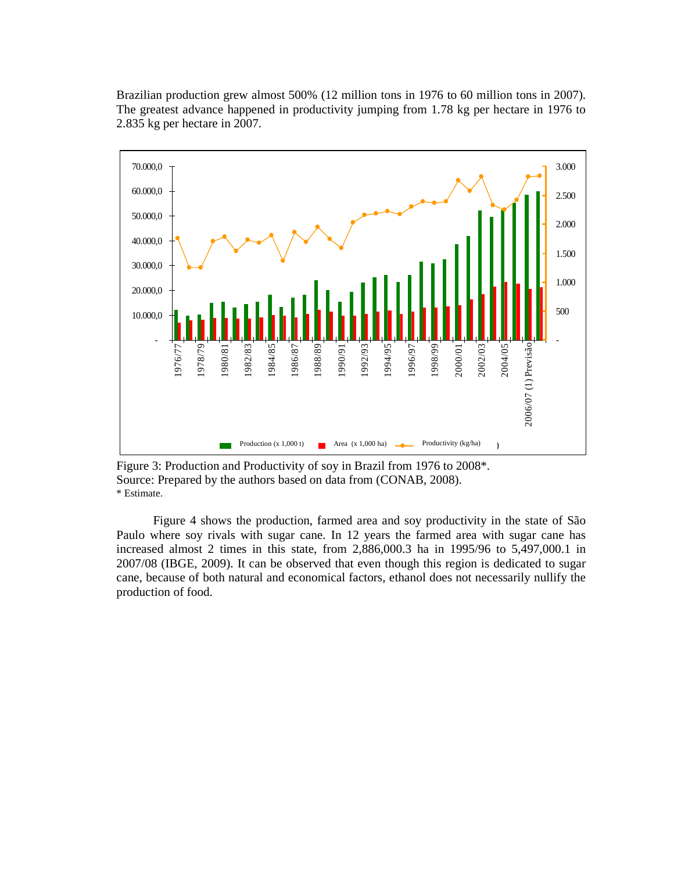Brazilian production grew almost 500% (12 million tons in 1976 to 60 million tons in 2007). The greatest advance happened in productivity jumping from 1.78 kg per hectare in 1976 to 2.835 kg per hectare in 2007.



Figure 3: Production and Productivity of soy in Brazil from 1976 to 2008\*. Source: Prepared by the authors based on data from (CONAB, 2008). \* Estimate.

Figure 4 shows the production, farmed area and soy productivity in the state of São Paulo where soy rivals with sugar cane. In 12 years the farmed area with sugar cane has increased almost 2 times in this state, from 2,886,000.3 ha in 1995/96 to 5,497,000.1 in 2007/08 (IBGE, 2009). It can be observed that even though this region is dedicated to sugar cane, because of both natural and economical factors, ethanol does not necessarily nullify the production of food.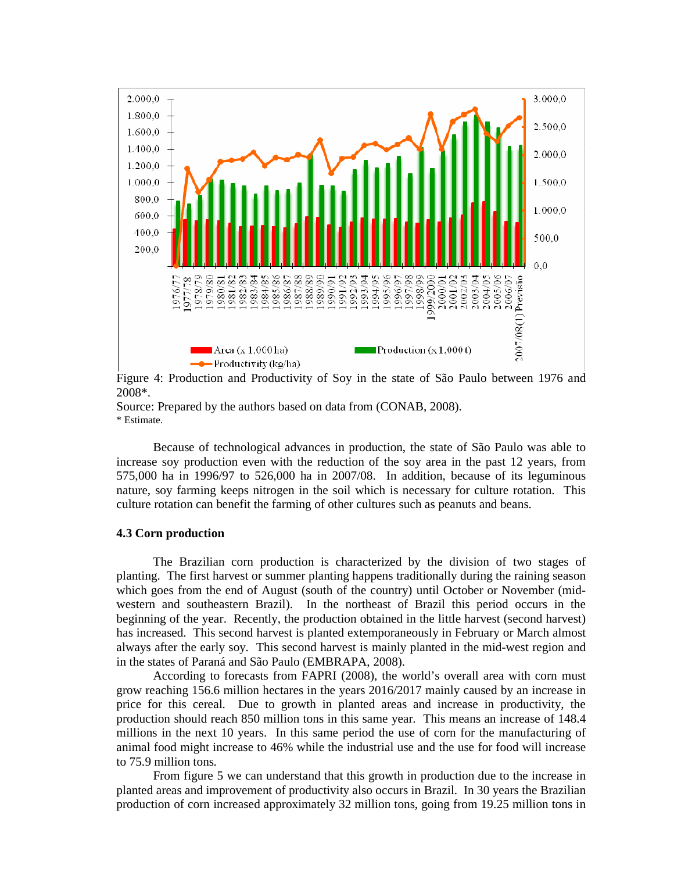

Figure 4: Production and Productivity of Soy in the state of São Paulo between 1976 and 2008\*.

Source: Prepared by the authors based on data from (CONAB, 2008). \* Estimate.

Because of technological advances in production, the state of São Paulo was able to increase soy production even with the reduction of the soy area in the past 12 years, from 575,000 ha in 1996/97 to 526,000 ha in 2007/08. In addition, because of its leguminous nature, soy farming keeps nitrogen in the soil which is necessary for culture rotation. This culture rotation can benefit the farming of other cultures such as peanuts and beans.

### **4.3 Corn production**

The Brazilian corn production is characterized by the division of two stages of planting. The first harvest or summer planting happens traditionally during the raining season which goes from the end of August (south of the country) until October or November (midwestern and southeastern Brazil). In the northeast of Brazil this period occurs in the beginning of the year. Recently, the production obtained in the little harvest (second harvest) has increased. This second harvest is planted extemporaneously in February or March almost always after the early soy. This second harvest is mainly planted in the mid-west region and in the states of Paraná and São Paulo (EMBRAPA, 2008).

 According to forecasts from FAPRI (2008), the world's overall area with corn must grow reaching 156.6 million hectares in the years 2016/2017 mainly caused by an increase in price for this cereal. Due to growth in planted areas and increase in productivity, the production should reach 850 million tons in this same year. This means an increase of 148.4 millions in the next 10 years. In this same period the use of corn for the manufacturing of animal food might increase to 46% while the industrial use and the use for food will increase to 75.9 million tons.

 From figure 5 we can understand that this growth in production due to the increase in planted areas and improvement of productivity also occurs in Brazil. In 30 years the Brazilian production of corn increased approximately 32 million tons, going from 19.25 million tons in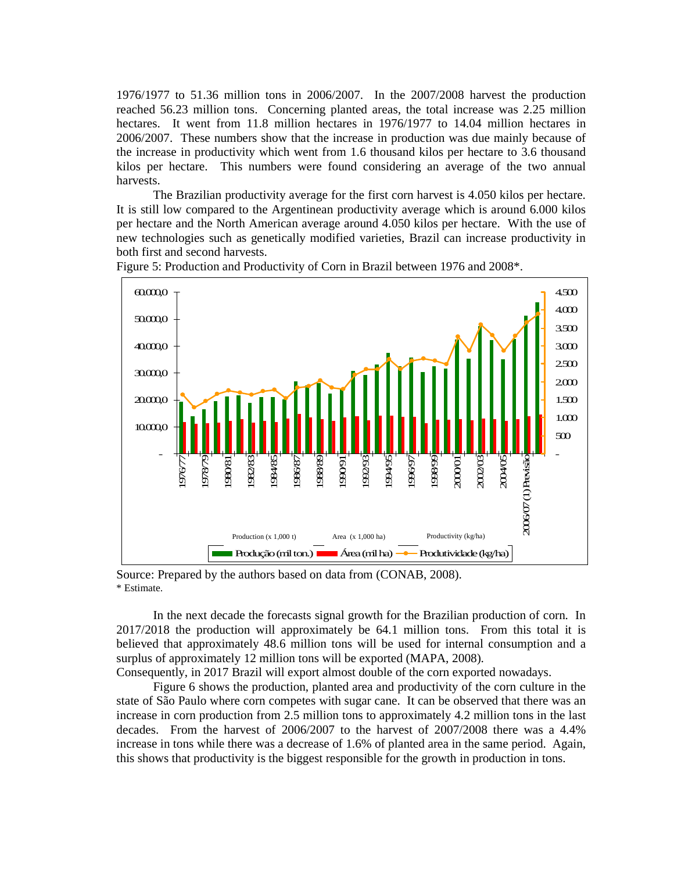1976/1977 to 51.36 million tons in 2006/2007. In the 2007/2008 harvest the production reached 56.23 million tons. Concerning planted areas, the total increase was 2.25 million hectares. It went from 11.8 million hectares in 1976/1977 to 14.04 million hectares in 2006/2007. These numbers show that the increase in production was due mainly because of the increase in productivity which went from 1.6 thousand kilos per hectare to 3.6 thousand kilos per hectare. This numbers were found considering an average of the two annual harvests.

The Brazilian productivity average for the first corn harvest is 4.050 kilos per hectare. It is still low compared to the Argentinean productivity average which is around 6.000 kilos per hectare and the North American average around 4.050 kilos per hectare. With the use of new technologies such as genetically modified varieties, Brazil can increase productivity in both first and second harvests.



Figure 5: Production and Productivity of Corn in Brazil between 1976 and 2008\*.

Source: Prepared by the authors based on data from (CONAB, 2008). \* Estimate.

In the next decade the forecasts signal growth for the Brazilian production of corn. In 2017/2018 the production will approximately be 64.1 million tons. From this total it is believed that approximately 48.6 million tons will be used for internal consumption and a surplus of approximately 12 million tons will be exported (MAPA, 2008).

Consequently, in 2017 Brazil will export almost double of the corn exported nowadays.

 Figure 6 shows the production, planted area and productivity of the corn culture in the state of São Paulo where corn competes with sugar cane. It can be observed that there was an increase in corn production from 2.5 million tons to approximately 4.2 million tons in the last decades. From the harvest of 2006/2007 to the harvest of 2007/2008 there was a 4.4% increase in tons while there was a decrease of 1.6% of planted area in the same period. Again, this shows that productivity is the biggest responsible for the growth in production in tons.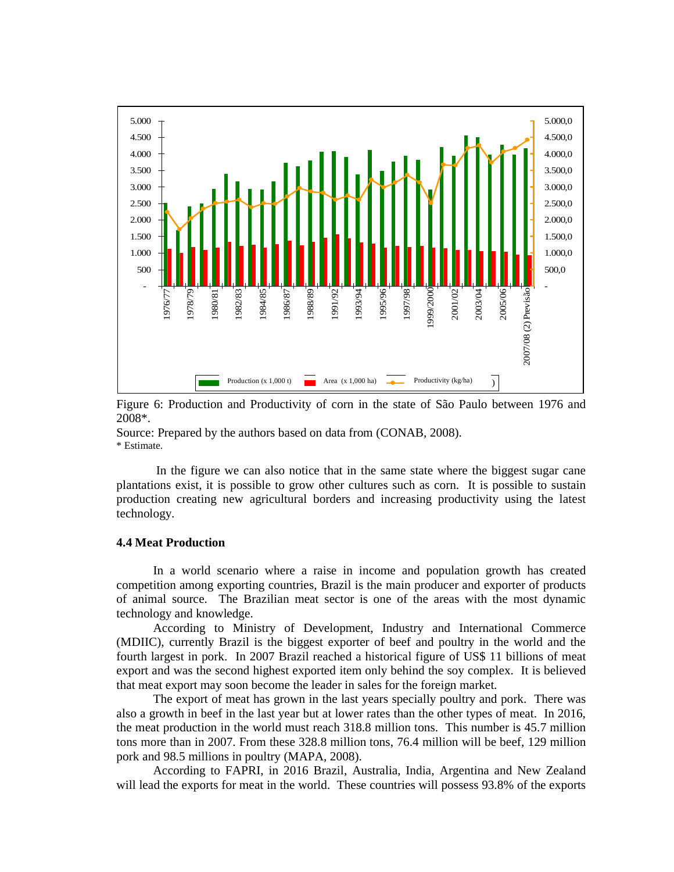

Figure 6: Production and Productivity of corn in the state of São Paulo between 1976 and 2008\*.

Source: Prepared by the authors based on data from (CONAB, 2008). \* Estimate.

 In the figure we can also notice that in the same state where the biggest sugar cane plantations exist, it is possible to grow other cultures such as corn. It is possible to sustain production creating new agricultural borders and increasing productivity using the latest technology.

## **4.4 Meat Production**

 In a world scenario where a raise in income and population growth has created competition among exporting countries, Brazil is the main producer and exporter of products of animal source. The Brazilian meat sector is one of the areas with the most dynamic technology and knowledge.

 According to Ministry of Development, Industry and International Commerce (MDIIC), currently Brazil is the biggest exporter of beef and poultry in the world and the fourth largest in pork. In 2007 Brazil reached a historical figure of US\$ 11 billions of meat export and was the second highest exported item only behind the soy complex. It is believed that meat export may soon become the leader in sales for the foreign market.

The export of meat has grown in the last years specially poultry and pork. There was also a growth in beef in the last year but at lower rates than the other types of meat. In 2016, the meat production in the world must reach 318.8 million tons. This number is 45.7 million tons more than in 2007. From these 328.8 million tons, 76.4 million will be beef, 129 million pork and 98.5 millions in poultry (MAPA, 2008).

According to FAPRI, in 2016 Brazil, Australia, India, Argentina and New Zealand will lead the exports for meat in the world. These countries will possess 93.8% of the exports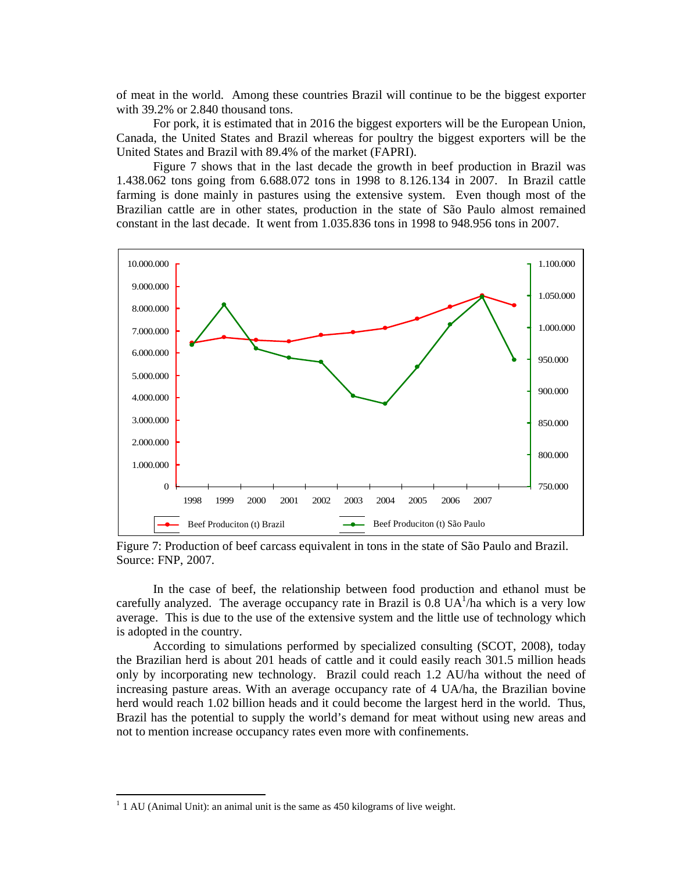of meat in the world. Among these countries Brazil will continue to be the biggest exporter with 39.2% or 2.840 thousand tons.

 For pork, it is estimated that in 2016 the biggest exporters will be the European Union, Canada, the United States and Brazil whereas for poultry the biggest exporters will be the United States and Brazil with 89.4% of the market (FAPRI).

 Figure 7 shows that in the last decade the growth in beef production in Brazil was 1.438.062 tons going from 6.688.072 tons in 1998 to 8.126.134 in 2007. In Brazil cattle farming is done mainly in pastures using the extensive system. Even though most of the Brazilian cattle are in other states, production in the state of São Paulo almost remained constant in the last decade. It went from 1.035.836 tons in 1998 to 948.956 tons in 2007.



Figure 7: Production of beef carcass equivalent in tons in the state of São Paulo and Brazil. Source: FNP, 2007.

In the case of beef, the relationship between food production and ethanol must be carefully analyzed. The average occupancy rate in Brazil is  $0.8 \text{ UA}^1/\text{ha}$  which is a very low average. This is due to the use of the extensive system and the little use of technology which is adopted in the country.

According to simulations performed by specialized consulting (SCOT, 2008), today the Brazilian herd is about 201 heads of cattle and it could easily reach 301.5 million heads only by incorporating new technology. Brazil could reach 1.2 AU/ha without the need of increasing pasture areas. With an average occupancy rate of 4 UA/ha, the Brazilian bovine herd would reach 1.02 billion heads and it could become the largest herd in the world. Thus, Brazil has the potential to supply the world's demand for meat without using new areas and not to mention increase occupancy rates even more with confinements.

 $\overline{a}$ 

 $<sup>1</sup>$  1 AU (Animal Unit): an animal unit is the same as 450 kilograms of live weight.</sup>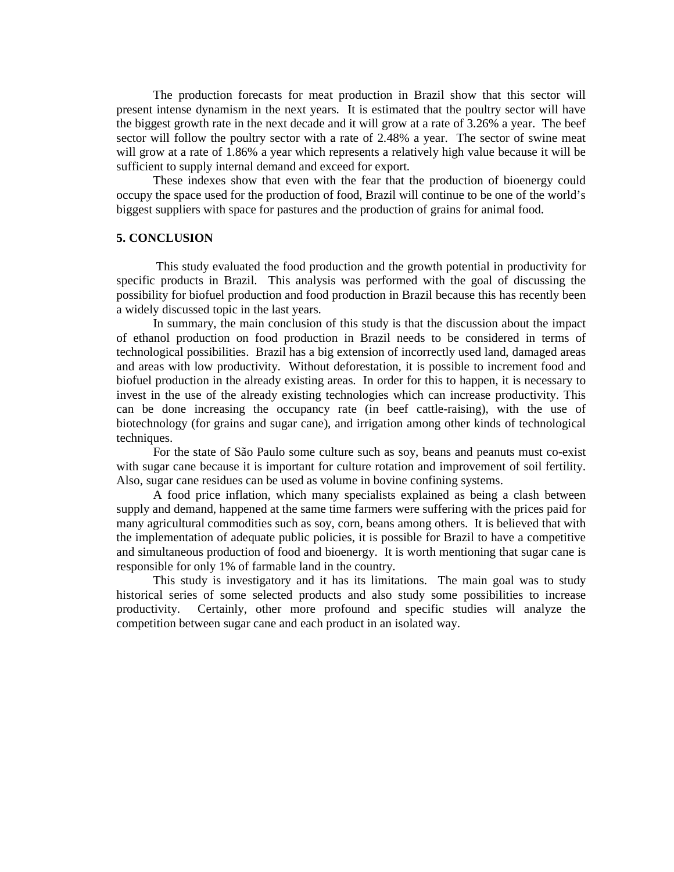The production forecasts for meat production in Brazil show that this sector will present intense dynamism in the next years. It is estimated that the poultry sector will have the biggest growth rate in the next decade and it will grow at a rate of 3.26% a year. The beef sector will follow the poultry sector with a rate of 2.48% a year. The sector of swine meat will grow at a rate of 1.86% a year which represents a relatively high value because it will be sufficient to supply internal demand and exceed for export.

These indexes show that even with the fear that the production of bioenergy could occupy the space used for the production of food, Brazil will continue to be one of the world's biggest suppliers with space for pastures and the production of grains for animal food.

## **5. CONCLUSION**

 This study evaluated the food production and the growth potential in productivity for specific products in Brazil. This analysis was performed with the goal of discussing the possibility for biofuel production and food production in Brazil because this has recently been a widely discussed topic in the last years.

In summary, the main conclusion of this study is that the discussion about the impact of ethanol production on food production in Brazil needs to be considered in terms of technological possibilities. Brazil has a big extension of incorrectly used land, damaged areas and areas with low productivity. Without deforestation, it is possible to increment food and biofuel production in the already existing areas. In order for this to happen, it is necessary to invest in the use of the already existing technologies which can increase productivity. This can be done increasing the occupancy rate (in beef cattle-raising), with the use of biotechnology (for grains and sugar cane), and irrigation among other kinds of technological techniques.

For the state of São Paulo some culture such as soy, beans and peanuts must co-exist with sugar cane because it is important for culture rotation and improvement of soil fertility. Also, sugar cane residues can be used as volume in bovine confining systems.

A food price inflation, which many specialists explained as being a clash between supply and demand, happened at the same time farmers were suffering with the prices paid for many agricultural commodities such as soy, corn, beans among others. It is believed that with the implementation of adequate public policies, it is possible for Brazil to have a competitive and simultaneous production of food and bioenergy. It is worth mentioning that sugar cane is responsible for only 1% of farmable land in the country.

This study is investigatory and it has its limitations. The main goal was to study historical series of some selected products and also study some possibilities to increase productivity. Certainly, other more profound and specific studies will analyze the competition between sugar cane and each product in an isolated way.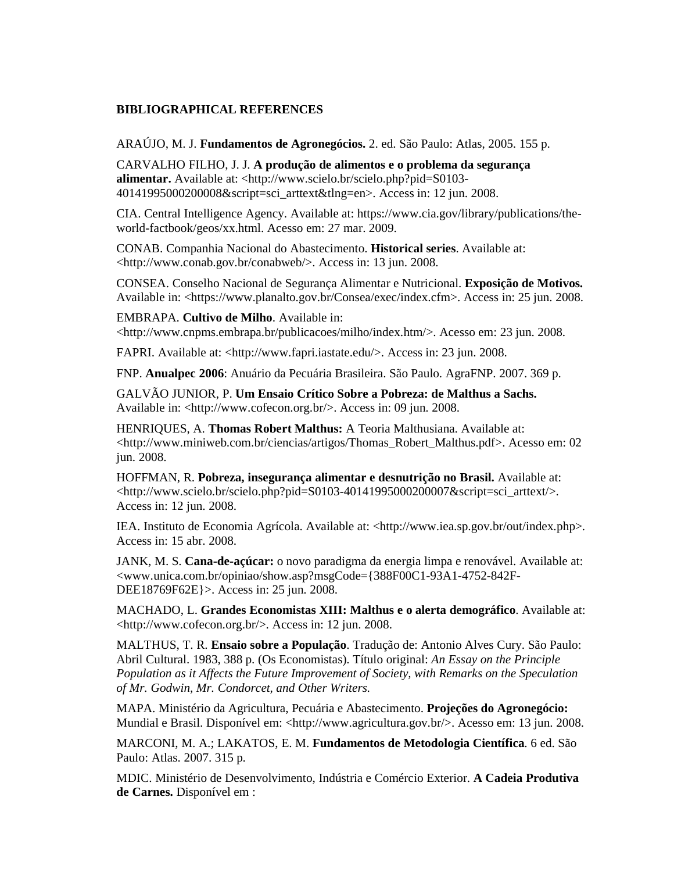# **BIBLIOGRAPHICAL REFERENCES**

ARAÚJO, M. J. **Fundamentos de Agronegócios.** 2. ed. São Paulo: Atlas, 2005. 155 p.

CARVALHO FILHO, J. J. **A produção de alimentos e o problema da segurança alimentar.** Available at: <http://www.scielo.br/scielo.php?pid=S0103- 40141995000200008&script=sci\_arttext&tlng=en>. Access in: 12 jun. 2008.

CIA. Central Intelligence Agency. Available at: https://www.cia.gov/library/publications/theworld-factbook/geos/xx.html. Acesso em: 27 mar. 2009.

CONAB. Companhia Nacional do Abastecimento. **Historical series**. Available at: <http://www.conab.gov.br/conabweb/>. Access in: 13 jun. 2008.

CONSEA. Conselho Nacional de Segurança Alimentar e Nutricional. **Exposição de Motivos.**  Available in: <https://www.planalto.gov.br/Consea/exec/index.cfm>. Access in: 25 jun. 2008.

EMBRAPA. **Cultivo de Milho**. Available in: <http://www.cnpms.embrapa.br/publicacoes/milho/index.htm/>. Acesso em: 23 jun. 2008.

FAPRI. Available at: <http://www.fapri.iastate.edu/>. Access in: 23 jun. 2008.

FNP. **Anualpec 2006**: Anuário da Pecuária Brasileira. São Paulo. AgraFNP. 2007. 369 p.

GALVÃO JUNIOR, P. **Um Ensaio Crítico Sobre a Pobreza: de Malthus a Sachs.**  Available in: <http://www.cofecon.org.br/>. Access in: 09 jun. 2008.

HENRIQUES, A. **Thomas Robert Malthus:** A Teoria Malthusiana. Available at: <http://www.miniweb.com.br/ciencias/artigos/Thomas\_Robert\_Malthus.pdf>. Acesso em: 02 jun. 2008.

HOFFMAN, R. **Pobreza, insegurança alimentar e desnutrição no Brasil.** Available at:  $\langle$ http://www.scielo.br/scielo.php?pid=S0103-40141995000200007&script=sci\_arttext/>. Access in: 12 jun. 2008.

IEA. Instituto de Economia Agrícola. Available at: <http://www.iea.sp.gov.br/out/index.php>. Access in: 15 abr. 2008.

JANK, M. S. **Cana-de-açúcar:** o novo paradigma da energia limpa e renovável. Available at: <www.unica.com.br/opiniao/show.asp?msgCode={388F00C1-93A1-4752-842F-DEE18769F62E}>. Access in: 25 jun. 2008.

MACHADO, L. **Grandes Economistas XIII: Malthus e o alerta demográfico**. Available at: <http://www.cofecon.org.br/>. Access in: 12 jun. 2008.

MALTHUS, T. R. **Ensaio sobre a População**. Tradução de: Antonio Alves Cury. São Paulo: Abril Cultural. 1983, 388 p. (Os Economistas). Título original: *An Essay on the Principle Population as it Affects the Future Improvement of Society, with Remarks on the Speculation of Mr. Godwin, Mr. Condorcet, and Other Writers.*

MAPA. Ministério da Agricultura, Pecuária e Abastecimento. **Projeções do Agronegócio:**  Mundial e Brasil. Disponível em: <http://www.agricultura.gov.br/>. Acesso em: 13 jun. 2008.

MARCONI, M. A.; LAKATOS, E. M. **Fundamentos de Metodologia Científica**. 6 ed. São Paulo: Atlas. 2007. 315 p.

MDIC. Ministério de Desenvolvimento, Indústria e Comércio Exterior. **A Cadeia Produtiva de Carnes.** Disponível em :